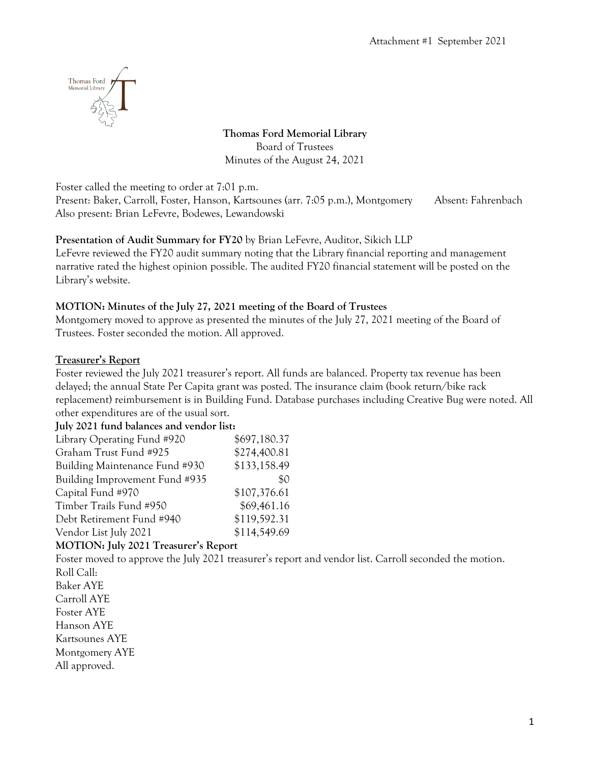

**Thomas Ford Memorial Library** Board of Trustees Minutes of the August 24, 2021

Foster called the meeting to order at 7:01 p.m.

Present: Baker, Carroll, Foster, Hanson, Kartsounes (arr. 7:05 p.m.), Montgomery Absent: Fahrenbach Also present: Brian LeFevre, Bodewes, Lewandowski

### **Presentation of Audit Summary for FY20** by Brian LeFevre, Auditor, Sikich LLP

LeFevre reviewed the FY20 audit summary noting that the Library financial reporting and management narrative rated the highest opinion possible. The audited FY20 financial statement will be posted on the Library's website.

### **MOTION: Minutes of the July 27, 2021 meeting of the Board of Trustees**

Montgomery moved to approve as presented the minutes of the July 27, 2021 meeting of the Board of Trustees. Foster seconded the motion. All approved.

### **Treasurer's Report**

Foster reviewed the July 2021 treasurer's report. All funds are balanced. Property tax revenue has been delayed; the annual State Per Capita grant was posted. The insurance claim (book return/bike rack replacement) reimbursement is in Building Fund. Database purchases including Creative Bug were noted. All other expenditures are of the usual sort. **July 2021 fund balances and vendor list:**

| July 2021 fund balances and vendor list: |              |
|------------------------------------------|--------------|
| Library Operating Fund #920              | \$697,180.37 |
| Graham Trust Fund #925                   | \$274,400.81 |
| Building Maintenance Fund #930           | \$133,158.49 |
| Building Improvement Fund #935           | \$0          |
| Capital Fund #970                        | \$107,376.61 |
| Timber Trails Fund #950                  | \$69,461.16  |
| Debt Retirement Fund #940                | \$119,592.31 |
| Vendor List July 2021                    | \$114,549.69 |
|                                          |              |

### **MOTION: July 2021 Treasurer's Report**

Foster moved to approve the July 2021 treasurer's report and vendor list. Carroll seconded the motion. Roll Call: Baker AYE Carroll AYE Foster AYE Hanson AYE Kartsounes AYE

Montgomery AYE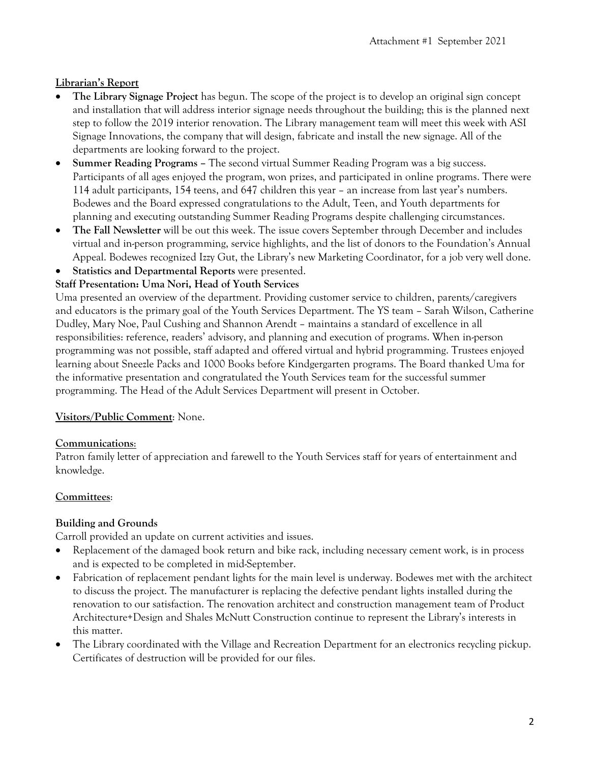# **Librarian's Report**

- **The Library Signage Project** has begun. The scope of the project is to develop an original sign concept and installation that will address interior signage needs throughout the building; this is the planned next step to follow the 2019 interior renovation. The Library management team will meet this week with ASI Signage Innovations, the company that will design, fabricate and install the new signage. All of the departments are looking forward to the project.
- **Summer Reading Programs –** The second virtual Summer Reading Program was a big success. Participants of all ages enjoyed the program, won prizes, and participated in online programs. There were 114 adult participants, 154 teens, and 647 children this year – an increase from last year's numbers. Bodewes and the Board expressed congratulations to the Adult, Teen, and Youth departments for planning and executing outstanding Summer Reading Programs despite challenging circumstances.
- **The Fall Newsletter** will be out this week. The issue covers September through December and includes virtual and in-person programming, service highlights, and the list of donors to the Foundation's Annual Appeal. Bodewes recognized Izzy Gut, the Library's new Marketing Coordinator, for a job very well done.
- **Statistics and Departmental Reports** were presented.

### **Staff Presentation: Uma Nori, Head of Youth Services**

Uma presented an overview of the department. Providing customer service to children, parents/caregivers and educators is the primary goal of the Youth Services Department. The YS team – Sarah Wilson, Catherine Dudley, Mary Noe, Paul Cushing and Shannon Arendt – maintains a standard of excellence in all responsibilities: reference, readers' advisory, and planning and execution of programs. When in-person programming was not possible, staff adapted and offered virtual and hybrid programming. Trustees enjoyed learning about Sneezle Packs and 1000 Books before Kindgergarten programs. The Board thanked Uma for the informative presentation and congratulated the Youth Services team for the successful summer programming. The Head of the Adult Services Department will present in October.

### **Visitors/Public Comment**: None.

### **Communications**:

Patron family letter of appreciation and farewell to the Youth Services staff for years of entertainment and knowledge.

# **Committees**:

# **Building and Grounds**

Carroll provided an update on current activities and issues.

- Replacement of the damaged book return and bike rack, including necessary cement work, is in process and is expected to be completed in mid-September.
- Fabrication of replacement pendant lights for the main level is underway. Bodewes met with the architect to discuss the project. The manufacturer is replacing the defective pendant lights installed during the renovation to our satisfaction. The renovation architect and construction management team of Product Architecture+Design and Shales McNutt Construction continue to represent the Library's interests in this matter.
- The Library coordinated with the Village and Recreation Department for an electronics recycling pickup. Certificates of destruction will be provided for our files.